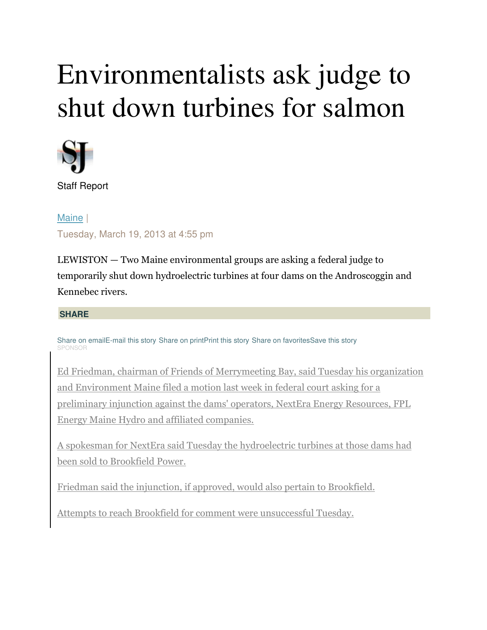## Environmentalists ask judge to shut down turbines for salmon



Staff Report

Maine | Tuesday, March 19, 2013 at 4:55 pm

LEWISTON — Two Maine environmental groups are asking a federal judge to temporarily shut down hydroelectric turbines at four dams on the Androscoggin and Kennebec rivers.

## **SHARE**

Share on emailE-mail this story Share on printPrint this story Share on favoritesSave this story **SPONSOF** 

Ed Friedman, chairman of Friends of Merrymeeting Bay, said Tuesday his organization and Environment Maine filed a motion last week in federal court asking for a preliminary injunction against the dams' operators, NextEra Energy Resources, FPL Energy Maine Hydro and affiliated companies.

A spokesman for NextEra said Tuesday the hydroelectric turbines at those dams had been sold to Brookfield Power.

Friedman said the injunction, if approved, would also pertain to Brookfield.

Attempts to reach Brookfield for comment were unsuccessful Tuesday.